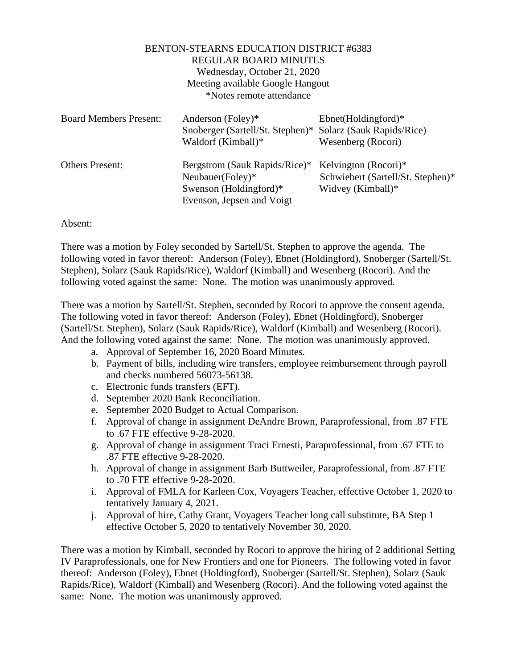## BENTON-STEARNS EDUCATION DISTRICT #6383 REGULAR BOARD MINUTES Wednesday, October 21, 2020 Meeting available Google Hangout \*Notes remote attendance

| <b>Board Members Present:</b> | Anderson (Foley)*<br>Snoberger (Sartell/St. Stephen)*<br>Waldorf (Kimball)*                                 | $Ebnet(Holdingford)*$<br>Solarz (Sauk Rapids/Rice)<br>Wesenberg (Rocori)       |
|-------------------------------|-------------------------------------------------------------------------------------------------------------|--------------------------------------------------------------------------------|
| <b>Others Present:</b>        | Bergstrom (Sauk Rapids/Rice)*<br>Neubauer(Foley)*<br>Swenson (Holdingford) $*$<br>Evenson, Jepsen and Voigt | Kelvington (Rocori)*<br>Schwiebert (Sartell/St. Stephen)*<br>Widvey (Kimball)* |

## Absent:

There was a motion by Foley seconded by Sartell/St. Stephen to approve the agenda. The following voted in favor thereof: Anderson (Foley), Ebnet (Holdingford), Snoberger (Sartell/St. Stephen), Solarz (Sauk Rapids/Rice), Waldorf (Kimball) and Wesenberg (Rocori). And the following voted against the same: None. The motion was unanimously approved.

There was a motion by Sartell/St. Stephen, seconded by Rocori to approve the consent agenda. The following voted in favor thereof: Anderson (Foley), Ebnet (Holdingford), Snoberger (Sartell/St. Stephen), Solarz (Sauk Rapids/Rice), Waldorf (Kimball) and Wesenberg (Rocori). And the following voted against the same: None. The motion was unanimously approved.

- a. Approval of September 16, 2020 Board Minutes.
- b. Payment of bills, including wire transfers, employee reimbursement through payroll and checks numbered 56073-56138.
- c. Electronic funds transfers (EFT).
- d. September 2020 Bank Reconciliation.
- e. September 2020 Budget to Actual Comparison.
- f. Approval of change in assignment DeAndre Brown, Paraprofessional, from .87 FTE to .67 FTE effective 9-28-2020.
- g. Approval of change in assignment Traci Ernesti, Paraprofessional, from .67 FTE to .87 FTE effective 9-28-2020.
- h. Approval of change in assignment Barb Buttweiler, Paraprofessional, from .87 FTE to .70 FTE effective 9-28-2020.
- i. Approval of FMLA for Karleen Cox, Voyagers Teacher, effective October 1, 2020 to tentatively January 4, 2021.
- j. Approval of hire, Cathy Grant, Voyagers Teacher long call substitute, BA Step 1 effective October 5, 2020 to tentatively November 30, 2020.

There was a motion by Kimball, seconded by Rocori to approve the hiring of 2 additional Setting IV Paraprofessionals, one for New Frontiers and one for Pioneers. The following voted in favor thereof: Anderson (Foley), Ebnet (Holdingford), Snoberger (Sartell/St. Stephen), Solarz (Sauk Rapids/Rice), Waldorf (Kimball) and Wesenberg (Rocori). And the following voted against the same: None. The motion was unanimously approved.